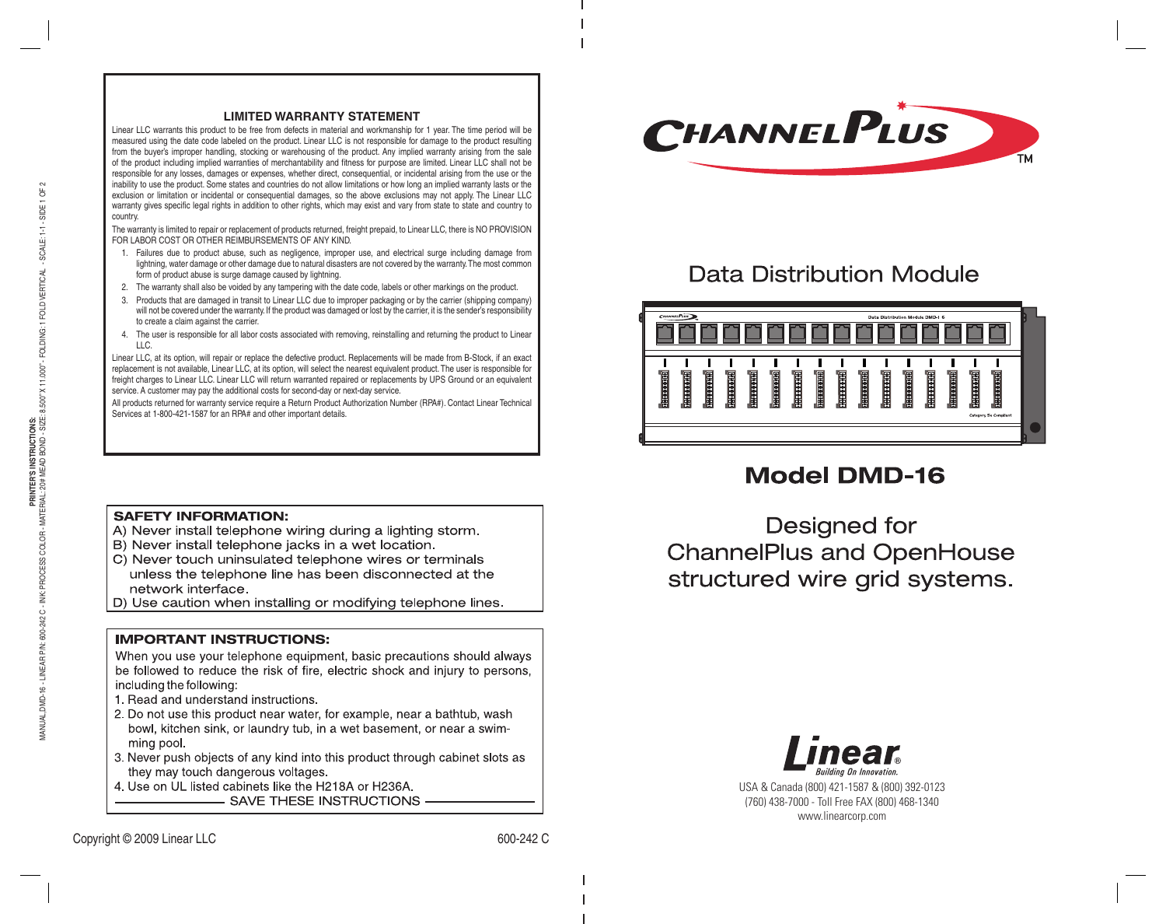#### **LIMITED WARRANTY STATEMENT**

Linear LLC warrants this product to be free from defects in material and workmanship for 1 year. The time period will be measured using the date code labeled on the product. Linear LLC is not responsible for damage to the product resulting from the buyer's improper handling, stocking or warehousing of the product. Any implied warranty arising from the sale of the product including implied warranties of merchantability and fitness for purpose are limited. Linear LLC shall not be responsible for any losses, damages or expenses, whether direct, consequential, or incidental arising from the use or the inability to use the product. Some states and countries do not allow limitations or how long an implied warranty lasts or the exclusion or limitation or incidental or consequential damages, so the above exclusions may not apply. The Linear LLC warranty gives specific legal rights in addition to other rights, which may exist and vary from state to state and country to country.

The warranty is limited to repair or replacement of products returned, freight prepaid, to Linear LLC, there is NO PROVISION FOR LABOR COST OR OTHER REIMBURSEMENTS OF ANY KIND.

- 1. Failures due to product abuse, such as negligence, improper use, and electrical surge including damage from lightning, water damage or other damage due to natural disasters are not covered by the warranty. The most common form of product abuse is surge damage caused by lightning.
- 2. The warranty shall also be voided by any tampering with the date code, labels or other markings on the product.
- 3. Products that are damaged in transit to Linear LLC due to improper packaging or by the carrier (shipping company) will not be covered under the warranty. If the product was damaged or lost by the carrier, it is the sender's responsibility to create a claim against the carrier.
- 4. The user is responsible for all labor costs associated with removing, reinstalling and returning the product to Linear LLC.

Linear LLC, at its option, will repair or replace the defective product. Replacements will be made from B-Stock, if an exact replacement is not available, Linear LLC, at its option, will select the nearest equivalent product. The user is responsible for freight charges to Linear LLC. Linear LLC will return warranted repaired or replacements by UPS Ground or an equivalent service. A customer may pay the additional costs for second-day or next-day service.

All products returned for warranty service require a Return Product Authorization Number (RPA#). Contact Linear Technical Services at 1 -800-421-1587 for an RPA# and other important details.

### **SAFETY INFORMATION:**

- A) Never install telephone wiring during a lighting storm.
- B) Never install telephone jacks in a wet location.
- C) Never touch uninsulated telephone wires or terminals unless the telephone line has been disconnected at the network interface.
- D) Use caution when installing or modifying telephone lines.

### **IMPORTANT INSTRUCTIONS:**

When you use your telephone equipment, basic precautions should always be followed to reduce the risk of fire, electric shock and injury to persons, including the following:

- 1. Read and understand instructions.
- 2. Do not use this product near water, for example, near a bathtub, wash bowl, kitchen sink, or laundry tub, in a wet basement, or near a swimming pool.
- 3. Never push objects of any kind into this product through cabinet slots as they may touch dangerous voltages.
- 4. Use on UL listed cabinets like the H218A or H236A.

SAVE THESE INSTRUCTIONS



# **Data Distribution Module**



# **Model DMD-16**

Designed for **ChannelPlus and OpenHouse** structured wire grid systems.